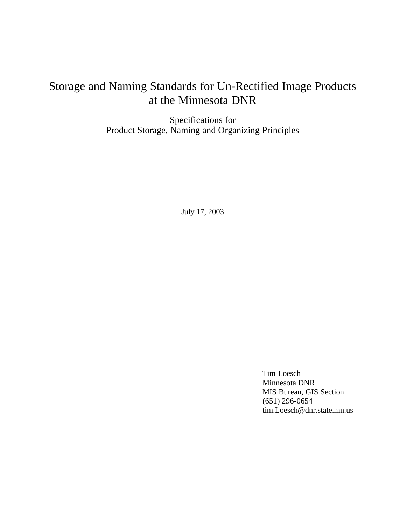# Storage and Naming Standards for Un-Rectified Image Products at the Minnesota DNR

Specifications for Product Storage, Naming and Organizing Principles

July 17, 2003

Tim Loesch Minnesota DNR MIS Bureau, GIS Section (651) 296-0654 tim.Loesch@dnr.state.mn.us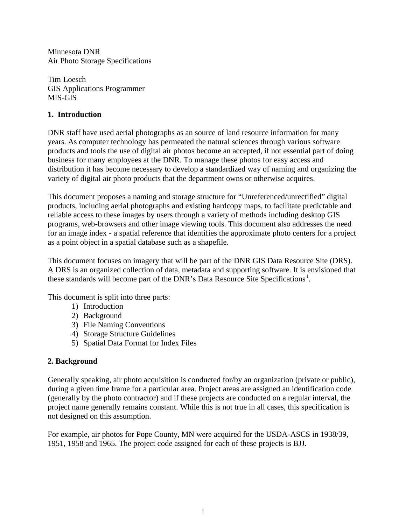Minnesota DNR Air Photo Storage Specifications

Tim Loesch GIS Applications Programmer MIS-GIS

## **1. Introduction**

DNR staff have used aerial photographs as an source of land resource information for many years. As computer technology has permeated the natural sciences through various software products and tools the use of digital air photos become an accepted, if not essential part of doing business for many employees at the DNR. To manage these photos for easy access and distribution it has become necessary to develop a standardized way of naming and organizing the variety of digital air photo products that the department owns or otherwise acquires.

This document proposes a naming and storage structure for "Unreferenced/unrectified" digital products, including aerial photographs and existing hardcopy maps, to facilitate predictable and reliable access to these images by users through a variety of methods including desktop GIS programs, web-browsers and other image viewing tools. This document also addresses the need for an image index - a spatial reference that identifies the approximate photo centers for a project as a point object in a spatial database such as a shapefile.

This document focuses on imagery that will be part of the DNR GIS Data Resource Site (DRS). A DRS is an organized collection of data, metadata and supporting software. It is envisioned that these standards will become part of the DNR's Data Resource Site Specifications<sup>1</sup>.

This document is split into three parts:

- 1) Introduction
- 2) Background
- 3) File Naming Conventions
- 4) Storage Structure Guidelines
- 5) Spatial Data Format for Index Files

#### **2. Background**

Generally speaking, air photo acquisition is conducted for/by an organization (private or public), during a given time frame for a particular area. Project areas are assigned an identification code (generally by the photo contractor) and if these projects are conducted on a regular interval, the project name generally remains constant. While this is not true in all cases, this specification is not designed on this assumption.

For example, air photos for Pope County, MN were acquired for the USDA-ASCS in 1938/39, 1951, 1958 and 1965. The project code assigned for each of these projects is BJJ.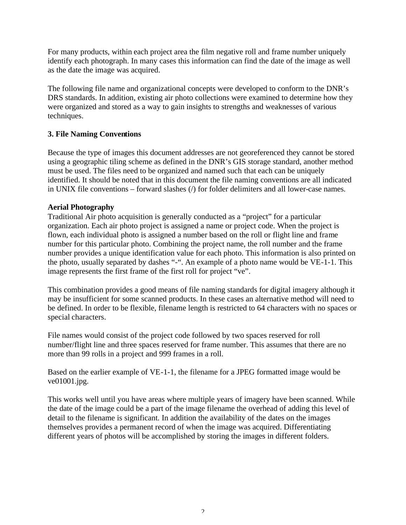For many products, within each project area the film negative roll and frame number uniquely identify each photograph. In many cases this information can find the date of the image as well as the date the image was acquired.

The following file name and organizational concepts were developed to conform to the DNR's DRS standards. In addition, existing air photo collections were examined to determine how they were organized and stored as a way to gain insights to strengths and weaknesses of various techniques.

#### **3. File Naming Conventions**

Because the type of images this document addresses are not georeferenced they cannot be stored using a geographic tiling scheme as defined in the DNR's GIS storage standard, another method must be used. The files need to be organized and named such that each can be uniquely identified. It should be noted that in this document the file naming conventions are all indicated in UNIX file conventions – forward slashes (/) for folder delimiters and all lower-case names.

#### **Aerial Photography**

Traditional Air photo acquisition is generally conducted as a "project" for a particular organization. Each air photo project is assigned a name or project code. When the project is flown, each individual photo is assigned a number based on the roll or flight line and frame number for this particular photo. Combining the project name, the roll number and the frame number provides a unique identification value for each photo. This information is also printed on the photo, usually separated by dashes "-". An example of a photo name would be VE-1-1. This image represents the first frame of the first roll for project "ve".

This combination provides a good means of file naming standards for digital imagery although it may be insufficient for some scanned products. In these cases an alternative method will need to be defined. In order to be flexible, filename length is restricted to 64 characters with no spaces or special characters.

File names would consist of the project code followed by two spaces reserved for roll number/flight line and three spaces reserved for frame number. This assumes that there are no more than 99 rolls in a project and 999 frames in a roll.

Based on the earlier example of VE-1-1, the filename for a JPEG formatted image would be ve01001.jpg.

This works well until you have areas where multiple years of imagery have been scanned. While the date of the image could be a part of the image filename the overhead of adding this level of detail to the filename is significant. In addition the availability of the dates on the images themselves provides a permanent record of when the image was acquired. Differentiating different years of photos will be accomplished by storing the images in different folders.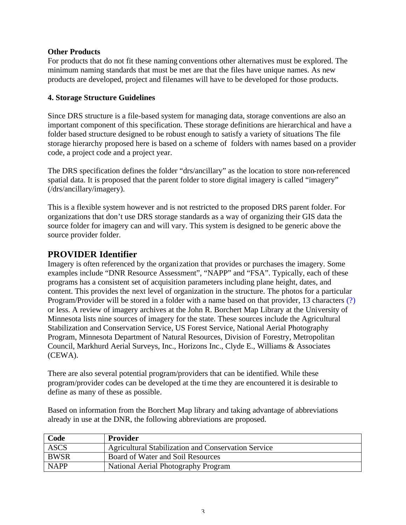#### **Other Products**

For products that do not fit these naming conventions other alternatives must be explored. The minimum naming standards that must be met are that the files have unique names. As new products are developed, project and filenames will have to be developed for those products.

#### **4. Storage Structure Guidelines**

Since DRS structure is a file-based system for managing data, storage conventions are also an important component of this specification. These storage definitions are hierarchical and have a folder based structure designed to be robust enough to satisfy a variety of situations The file storage hierarchy proposed here is based on a scheme of folders with names based on a provider code, a project code and a project year.

The DRS specification defines the folder "drs/ancillary" as the location to store non-referenced spatial data. It is proposed that the parent folder to store digital imagery is called "imagery" (/drs/ancillary/imagery).

This is a flexible system however and is not restricted to the proposed DRS parent folder. For organizations that don't use DRS storage standards as a way of organizing their GIS data the source folder for imagery can and will vary. This system is designed to be generic above the source provider folder.

# **PROVIDER Identifier**

Imagery is often referenced by the organization that provides or purchases the imagery. Some examples include "DNR Resource Assessment", "NAPP" and "FSA". Typically, each of these programs has a consistent set of acquisition parameters including plane height, dates, and content. This provides the next level of organization in the structure. The photos for a particular Program/Provider will be stored in a folder with a name based on that provider, 13 characters (?) or less. A review of imagery archives at the John R. Borchert Map Library at the University of Minnesota lists nine sources of imagery for the state. These sources include the Agricultural Stabilization and Conservation Service, US Forest Service, National Aerial Photography Program, Minnesota Department of Natural Resources, Division of Forestry, Metropolitan Council, Markhurd Aerial Surveys, Inc., Horizons Inc., Clyde E., Williams & Associates (CEWA).

There are also several potential program/providers that can be identified. While these program/provider codes can be developed at the time they are encountered it is desirable to define as many of these as possible.

Based on information from the Borchert Map library and taking advantage of abbreviations already in use at the DNR, the following abbreviations are proposed.

| Code        | Provider                                                   |
|-------------|------------------------------------------------------------|
| <b>ASCS</b> | <b>Agricultural Stabilization and Conservation Service</b> |
| BWSR        | Board of Water and Soil Resources                          |
| <b>NAPP</b> | National Aerial Photography Program                        |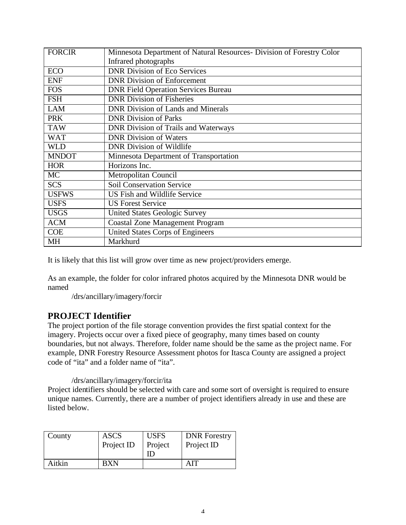| <b>FORCIR</b> | Minnesota Department of Natural Resources- Division of Forestry Color |
|---------------|-----------------------------------------------------------------------|
|               | Infrared photographs                                                  |
| <b>ECO</b>    | <b>DNR Division of Eco Services</b>                                   |
| <b>ENF</b>    | <b>DNR</b> Division of Enforcement                                    |
| <b>FOS</b>    | <b>DNR Field Operation Services Bureau</b>                            |
| <b>FSH</b>    | <b>DNR</b> Division of Fisheries                                      |
| <b>LAM</b>    | <b>DNR</b> Division of Lands and Minerals                             |
| <b>PRK</b>    | <b>DNR Division of Parks</b>                                          |
| <b>TAW</b>    | <b>DNR Division of Trails and Waterways</b>                           |
| <b>WAT</b>    | <b>DNR Division of Waters</b>                                         |
| WLD           | <b>DNR Division of Wildlife</b>                                       |
| <b>MNDOT</b>  | Minnesota Department of Transportation                                |
| <b>HOR</b>    | Horizons Inc.                                                         |
| <b>MC</b>     | Metropolitan Council                                                  |
| <b>SCS</b>    | <b>Soil Conservation Service</b>                                      |
| <b>USFWS</b>  | US Fish and Wildlife Service                                          |
| <b>USFS</b>   | <b>US Forest Service</b>                                              |
| <b>USGS</b>   | <b>United States Geologic Survey</b>                                  |
| <b>ACM</b>    | <b>Coastal Zone Management Program</b>                                |
| <b>COE</b>    | United States Corps of Engineers                                      |
| MH            | Markhurd                                                              |

It is likely that this list will grow over time as new project/providers emerge.

As an example, the folder for color infrared photos acquired by the Minnesota DNR would be named

/drs/ancillary/imagery/forcir

#### **PROJECT Identifier**

The project portion of the file storage convention provides the first spatial context for the imagery. Projects occur over a fixed piece of geography, many times based on county boundaries, but not always. Therefore, folder name should be the same as the project name. For example, DNR Forestry Resource Assessment photos for Itasca County are assigned a project code of "ita" and a folder name of "ita".

#### /drs/ancillary/imagery/forcir/ita

Project identifiers should be selected with care and some sort of oversight is required to ensure unique names. Currently, there are a number of project identifiers already in use and these are listed below.

| County | <b>ASCS</b> | <b>USFS</b> | <b>DNR</b> Forestry |
|--------|-------------|-------------|---------------------|
|        | Project ID  | Project     | Project ID          |
|        |             | ID          |                     |
| Aitkin | BXN         |             | AIT                 |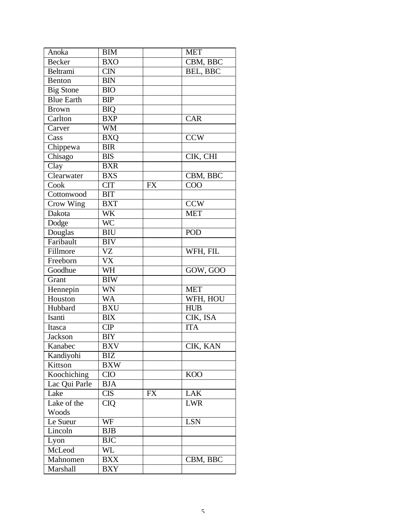| Anoka             | <b>BIM</b> |           | <b>MET</b>      |
|-------------------|------------|-----------|-----------------|
| <b>Becker</b>     | <b>BXO</b> |           | CBM, BBC        |
| Beltrami          | <b>CIN</b> |           | <b>BEL, BBC</b> |
| Benton            | <b>BIN</b> |           |                 |
| <b>Big Stone</b>  | <b>BIO</b> |           |                 |
| <b>Blue Earth</b> | <b>BIP</b> |           |                 |
| <b>Brown</b>      | <b>BIQ</b> |           |                 |
| Carlton           | <b>BXP</b> |           | <b>CAR</b>      |
| Carver            | <b>WM</b>  |           |                 |
| Cass              | <b>BXQ</b> |           | <b>CCW</b>      |
| Chippewa          | <b>BIR</b> |           |                 |
| Chisago           | <b>BIS</b> |           | CIK, CHI        |
| Clay              | <b>BXR</b> |           |                 |
| Clearwater        | <b>BXS</b> |           | CBM, BBC        |
| Cook              | <b>CIT</b> | <b>FX</b> | COO             |
| Cottonwood        | <b>BIT</b> |           |                 |
| Crow Wing         | <b>BXT</b> |           | <b>CCW</b>      |
| Dakota            | WK         |           | <b>MET</b>      |
| Dodge             | <b>WC</b>  |           |                 |
| Douglas           | <b>BIU</b> |           | POD             |
| Faribault         | <b>BIV</b> |           |                 |
| Fillmore          | VZ         |           | WFH, FIL        |
| Freeborn          | <b>VX</b>  |           |                 |
| Goodhue           | WH         |           | GOW, GOO        |
| Grant             | <b>BIW</b> |           |                 |
| Hennepin          | <b>WN</b>  |           | <b>MET</b>      |
| Houston           | <b>WA</b>  |           | WFH, HOU        |
| Hubbard           | <b>BXU</b> |           | <b>HUB</b>      |
| Isanti            | <b>BIX</b> |           | CIK, ISA        |
| Itasca            | CIP        |           | <b>ITA</b>      |
| <b>Jackson</b>    | <b>BIY</b> |           |                 |
| Kanabec           | <b>BXV</b> |           | CIK, KAN        |
| Kandiyohi         | BIZ        |           |                 |
| Kittson           | <b>BXW</b> |           |                 |
| Koochiching       | <b>CIO</b> |           | <b>KOO</b>      |
| Lac Qui Parle     | <b>BJA</b> |           |                 |
| Lake              | <b>CIS</b> | <b>FX</b> | <b>LAK</b>      |
| Lake of the       | <b>CIQ</b> |           | <b>LWR</b>      |
| Woods             |            |           |                 |
| Le Sueur          | WF         |           | <b>LSN</b>      |
| Lincoln           | BJB        |           |                 |
| Lyon              | <b>BJC</b> |           |                 |
| McLeod            | WL         |           |                 |
| Mahnomen          | <b>BXX</b> |           | CBM, BBC        |
| Marshall          | <b>BXY</b> |           |                 |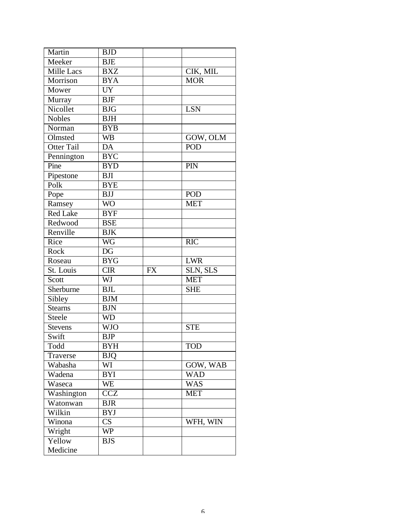| Martin            | <b>BJD</b>      |           |            |
|-------------------|-----------------|-----------|------------|
| Meeker            | <b>BJE</b>      |           |            |
| Mille Lacs        | <b>BXZ</b>      |           | CIK, MIL   |
| Morrison          | <b>BYA</b>      |           | <b>MOR</b> |
| Mower             | $U\overline{Y}$ |           |            |
| Murray            | $B$ J $F$       |           |            |
| Nicollet          | <b>BJG</b>      |           | <b>LSN</b> |
| <b>Nobles</b>     | <b>BJH</b>      |           |            |
| Norman            | <b>BYB</b>      |           |            |
| Olmsted           | <b>WB</b>       |           | GOW, OLM   |
| <b>Otter Tail</b> | DA              |           | POD        |
| Pennington        | <b>BYC</b>      |           |            |
| Pine              | <b>BYD</b>      |           | PIN        |
| Pipestone         | <b>BJI</b>      |           |            |
| Polk              | <b>BYE</b>      |           |            |
| Pope              | <b>BJJ</b>      |           | POD        |
| Ramsey            | <b>WO</b>       |           | <b>MET</b> |
| <b>Red Lake</b>   | <b>BYF</b>      |           |            |
| Redwood           | <b>BSE</b>      |           |            |
| Renville          | <b>BJK</b>      |           |            |
| Rice              | <b>WG</b>       |           | <b>RIC</b> |
| Rock              | DG              |           |            |
| Roseau            | <b>BYG</b>      |           | <b>LWR</b> |
| St. Louis         | <b>CIR</b>      | <b>FX</b> | SLN, SLS   |
| Scott             | WJ              |           | <b>MET</b> |
| Sherburne         | <b>BJL</b>      |           | <b>SHE</b> |
| Sibley            | <b>BJM</b>      |           |            |
| <b>Stearns</b>    | <b>BJN</b>      |           |            |
| Steele            | <b>WD</b>       |           |            |
| Stevens           | <b>WJO</b>      |           | <b>STE</b> |
| Swift             | <b>BJP</b>      |           |            |
| Todd              | <b>BYH</b>      |           | <b>TOD</b> |
| Traverse          | <b>BJQ</b>      |           |            |
| Wabasha           | WI              |           | GOW, WAB   |
| Wadena            | <b>BYI</b>      |           | <b>WAD</b> |
| Waseca            | WE              |           | <b>WAS</b> |
| Washington        | <b>CCZ</b>      |           | <b>MET</b> |
| Watonwan          | <b>BJR</b>      |           |            |
| Wilkin            | <b>BYJ</b>      |           |            |
| Winona            | CS              |           | WFH, WIN   |
| Wright            | <b>WP</b>       |           |            |
| Yellow            | <b>BJS</b>      |           |            |
| Medicine          |                 |           |            |